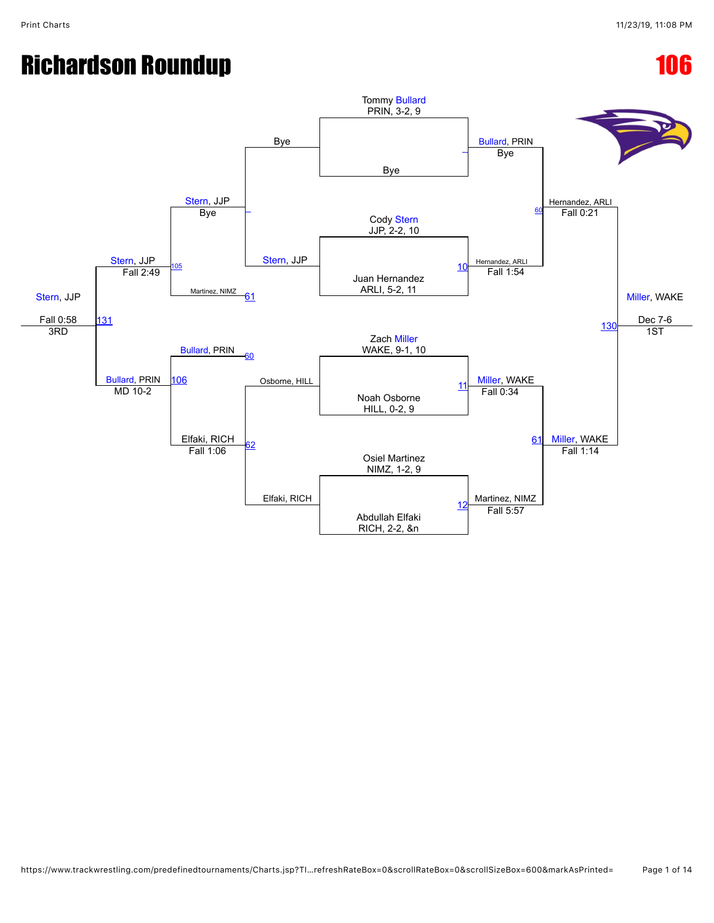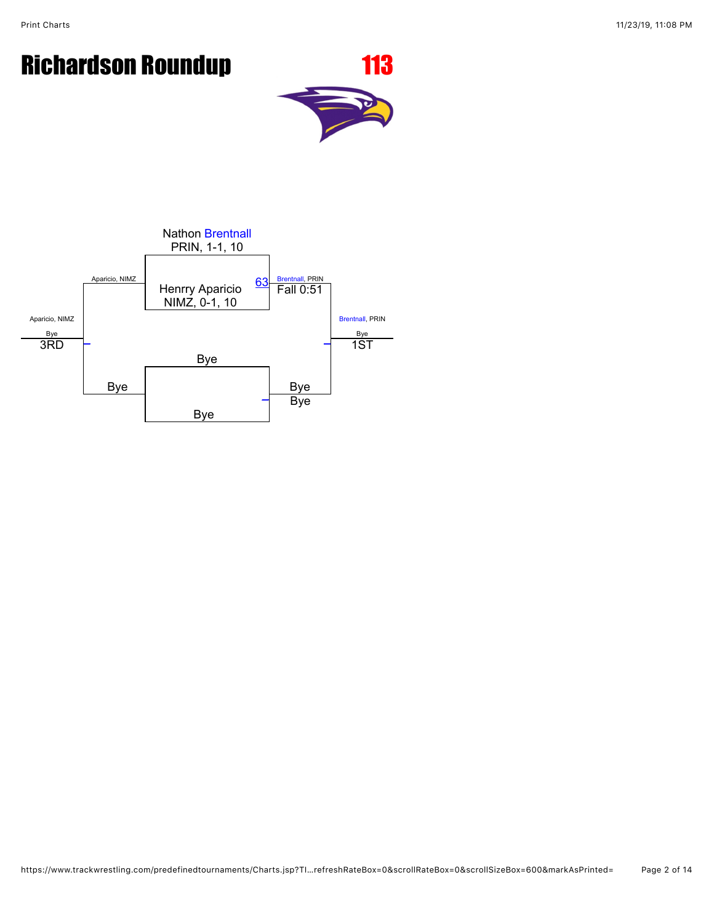

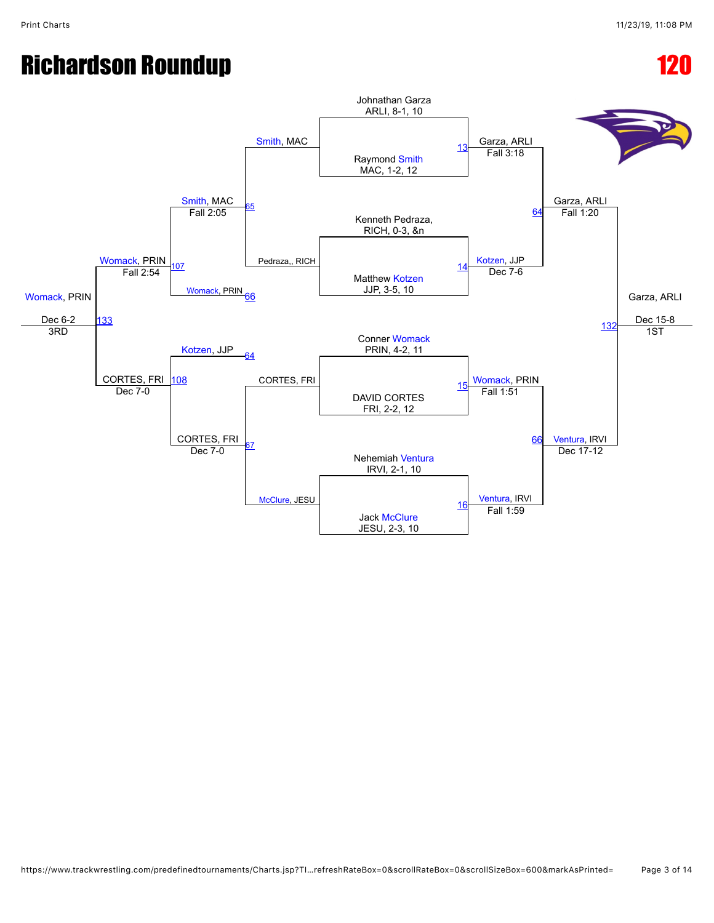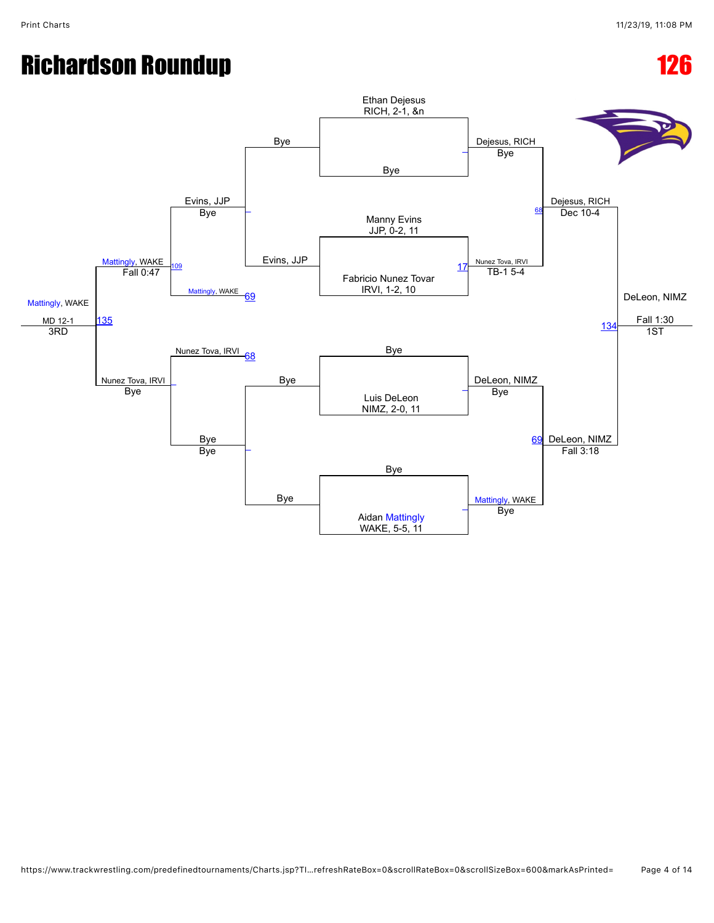[Mattingly,](javascript:viewProfile(1822033132)) WAKE MD 12-1 [Mattingly,](javascript:viewProfile(1822033132)) WAKE Evins, JJP Bye Ethan Dejesus RICH, 2-1, &n Dejesus, RICH Dejesus, RICH DeLeon, NIMZ Fall 1:30 Bye [\\_](javascript:openBoutSheet(1,)  $\overline{\phantom{a}}$ Evins, JJP Bye Manny Evins JJP, 0-2, 11 Bye Nunez Tova, IRVI Dec 10-4 [109](javascript:openBoutSheet(9,) [Mattingly,](javascript:viewProfile(1822033132)) WAKE Fabricio Nunez Tovar IRVI, 1-2, 10 [17](javascript:openBoutSheet(2,) [135](javascript:openBoutSheet(12,) Fall 0:47 [69](javascript:openBoutSheet(7,) TB-1 5-4 [134](javascript:openBoutSheet(11,) Nunez Tova, IRVI <sub>co</sub> Bye 3RD Nunez Tova, IRVI [68](javascript:openBoutSheet(5,) Bye | DeLeon, NIMZ 1ST  $\overline{\phantom{a}}$ Luis DeLeon NIMZ, 2-0, 11  $\frac{1}{\text{Bye}}$  and  $\frac{1}{\text{Bye}}$  and  $\frac{1}{\text{Bye}}$  and  $\frac{1}{\text{Bye}}$  and  $\frac{1}{\text{Bye}}$  and  $\frac{1}{\text{Bye}}$  and  $\frac{1}{\text{Bye}}$  and  $\frac{1}{\text{Bye}}$  and  $\frac{1}{\text{Bye}}$  and  $\frac{1}{\text{Bye}}$  and  $\frac{1}{\text{Bye}}$  and  $\frac{1}{\text{Bye}}$  and  $\frac{1$ **Bye** Bye Bye [69](javascript:openBoutSheet(7,) DeLeon, NIMZ Bye Bye [Mattingly,](javascript:viewProfile(1822033132)) WAKE [\\_](javascript:openBoutSheet(4,) ByeFall 3:18 Aidan [Mattingly](javascript:viewProfile(1822033132)) WAKE, 5-5, 11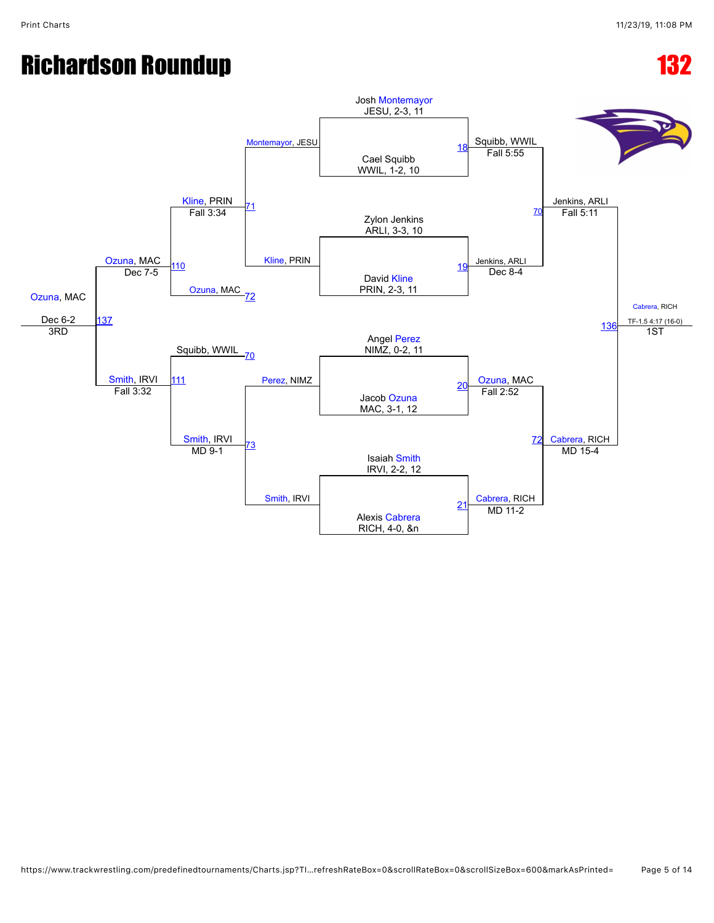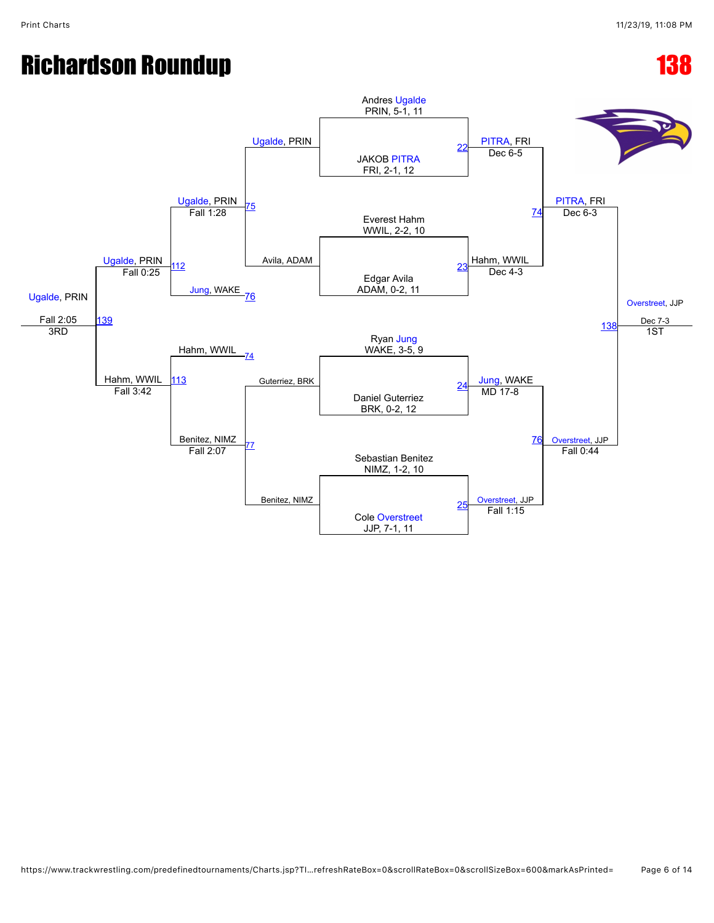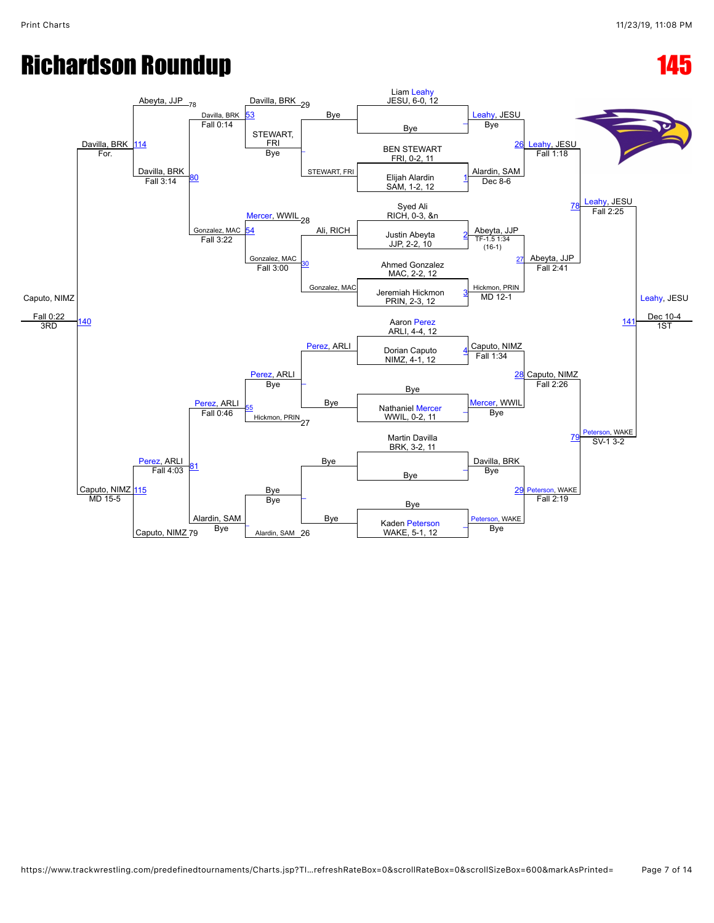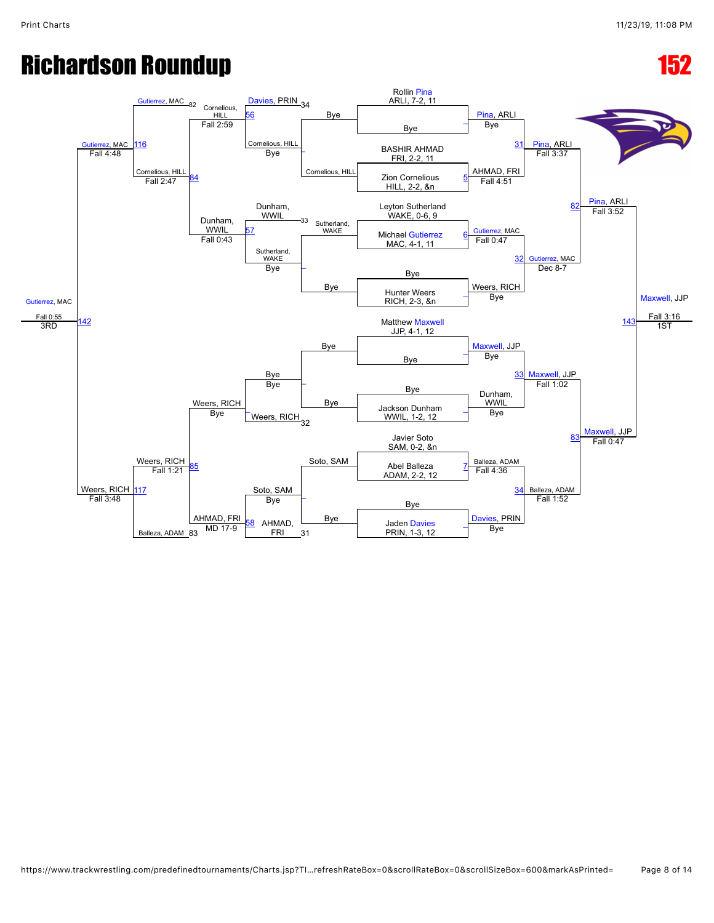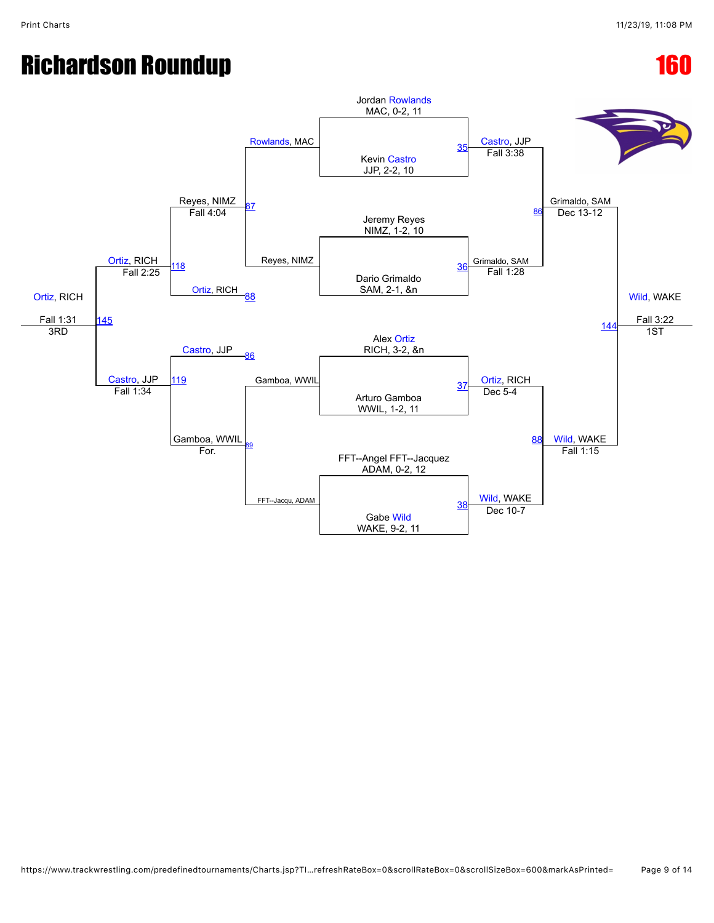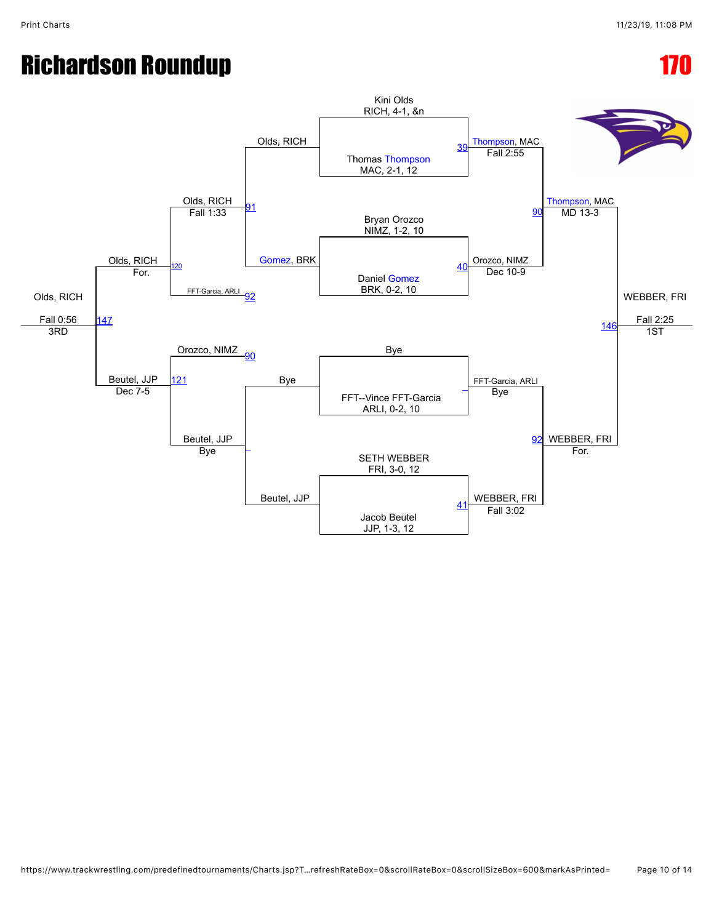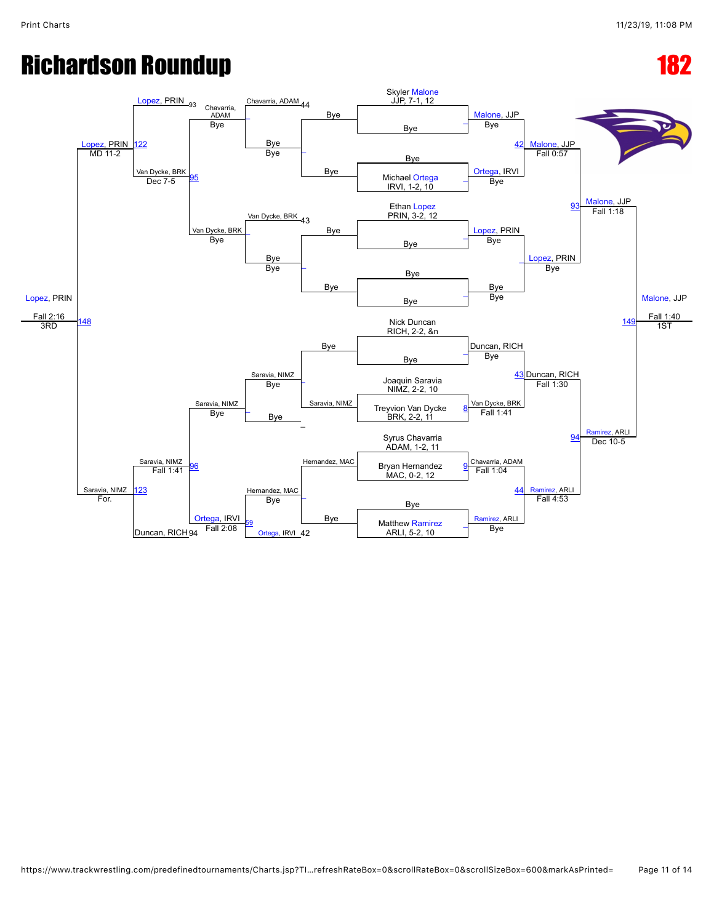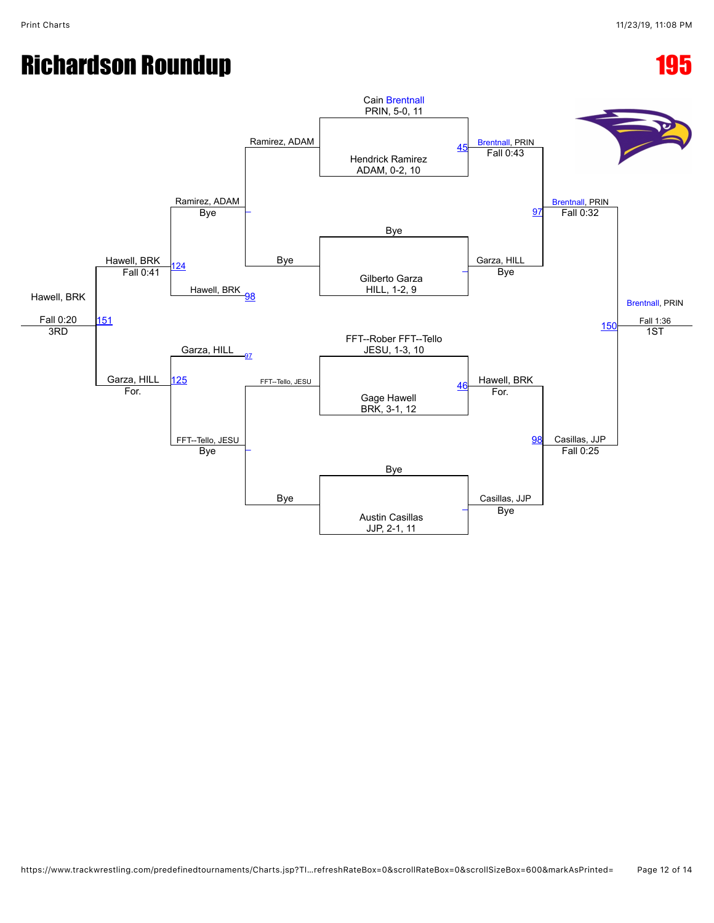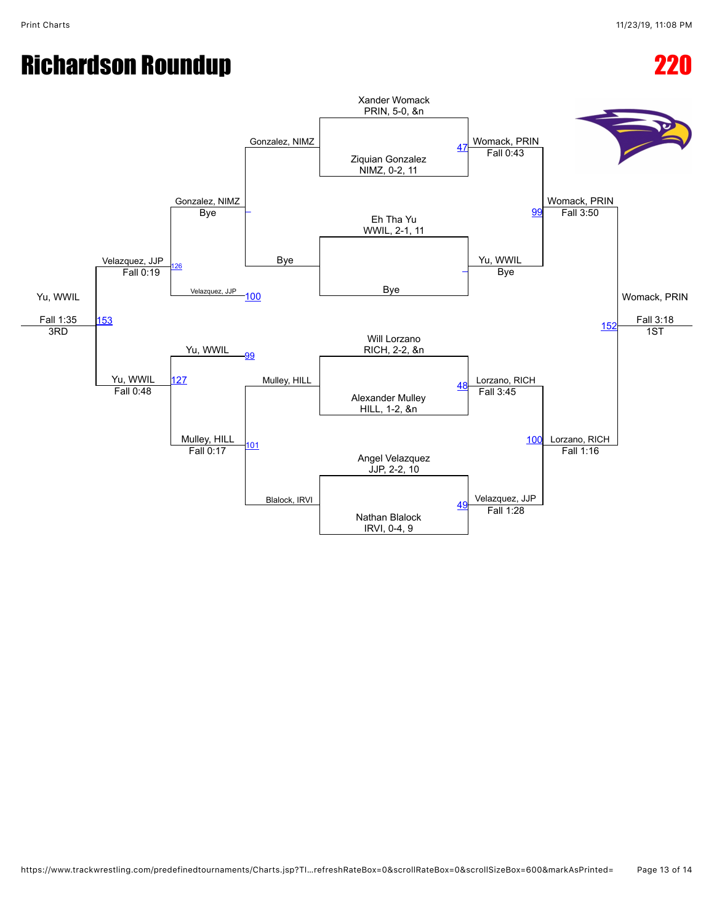